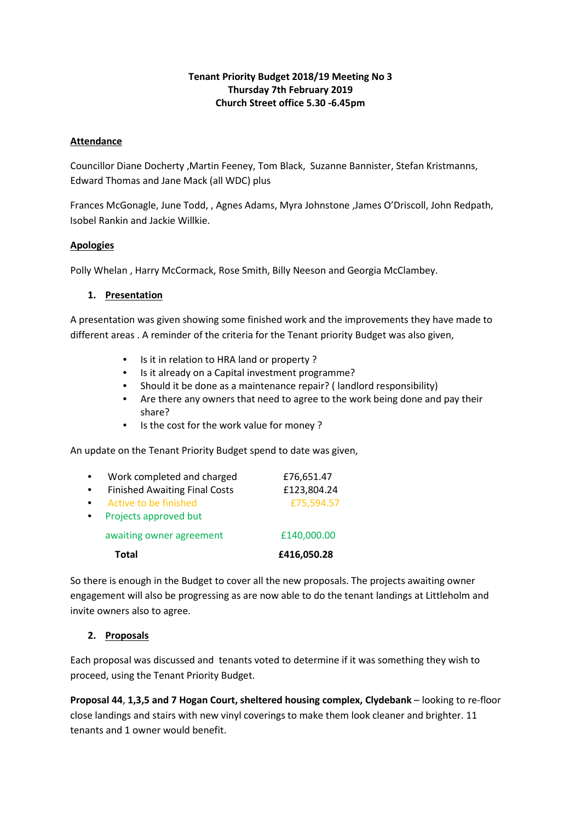#### **Tenant Priority Budget 2018/19 Meeting No 3 Thursday 7th February 2019 Church Street office 5.30 -6.45pm**

#### **Attendance**

Councillor Diane Docherty ,Martin Feeney, Tom Black, Suzanne Bannister, Stefan Kristmanns, Edward Thomas and Jane Mack (all WDC) plus

Frances McGonagle, June Todd, , Agnes Adams, Myra Johnstone ,James O'Driscoll, John Redpath, Isobel Rankin and Jackie Willkie.

#### **Apologies**

Polly Whelan , Harry McCormack, Rose Smith, Billy Neeson and Georgia McClambey.

#### **1. Presentation**

A presentation was given showing some finished work and the improvements they have made to different areas . A reminder of the criteria for the Tenant priority Budget was also given,

- Is it in relation to HRA land or property ?
- Is it already on a Capital investment programme?
- Should it be done as a maintenance repair? ( landlord responsibility)
- Are there any owners that need to agree to the work being done and pay their share?
- Is the cost for the work value for money ?

An update on the Tenant Priority Budget spend to date was given,

| £140,000.00 |
|-------------|
|             |
|             |
| £75,594.57  |
| £123,804.24 |
| £76,651.47  |
|             |

So there is enough in the Budget to cover all the new proposals. The projects awaiting owner engagement will also be progressing as are now able to do the tenant landings at Littleholm and invite owners also to agree.

#### **2. Proposals**

Each proposal was discussed and tenants voted to determine if it was something they wish to proceed, using the Tenant Priority Budget.

**Proposal 44**, **1,3,5 and 7 Hogan Court, sheltered housing complex, Clydebank** – looking to re-floor close landings and stairs with new vinyl coverings to make them look cleaner and brighter. 11 tenants and 1 owner would benefit.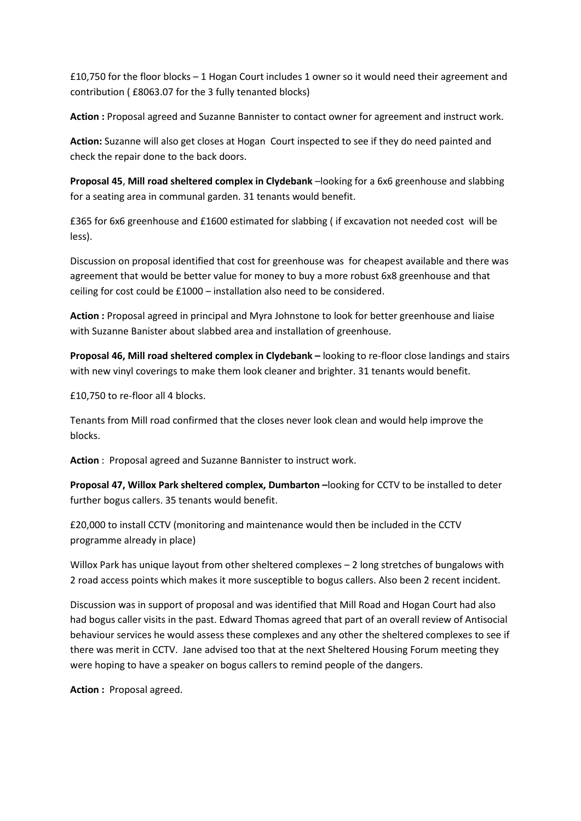£10,750 for the floor blocks – 1 Hogan Court includes 1 owner so it would need their agreement and contribution ( £8063.07 for the 3 fully tenanted blocks)

**Action :** Proposal agreed and Suzanne Bannister to contact owner for agreement and instruct work.

**Action:** Suzanne will also get closes at Hogan Court inspected to see if they do need painted and check the repair done to the back doors.

**Proposal 45**, **Mill road sheltered complex in Clydebank** –looking for a 6x6 greenhouse and slabbing for a seating area in communal garden. 31 tenants would benefit.

£365 for 6x6 greenhouse and £1600 estimated for slabbing ( if excavation not needed cost will be less).

Discussion on proposal identified that cost for greenhouse was for cheapest available and there was agreement that would be better value for money to buy a more robust 6x8 greenhouse and that ceiling for cost could be £1000 – installation also need to be considered.

**Action :** Proposal agreed in principal and Myra Johnstone to look for better greenhouse and liaise with Suzanne Banister about slabbed area and installation of greenhouse.

**Proposal 46, Mill road sheltered complex in Clydebank –** looking to re-floor close landings and stairs with new vinyl coverings to make them look cleaner and brighter. 31 tenants would benefit.

£10,750 to re-floor all 4 blocks.

Tenants from Mill road confirmed that the closes never look clean and would help improve the blocks.

**Action** : Proposal agreed and Suzanne Bannister to instruct work.

**Proposal 47, Willox Park sheltered complex, Dumbarton –**looking for CCTV to be installed to deter further bogus callers. 35 tenants would benefit.

£20,000 to install CCTV (monitoring and maintenance would then be included in the CCTV programme already in place)

Willox Park has unique layout from other sheltered complexes – 2 long stretches of bungalows with 2 road access points which makes it more susceptible to bogus callers. Also been 2 recent incident.

Discussion was in support of proposal and was identified that Mill Road and Hogan Court had also had bogus caller visits in the past. Edward Thomas agreed that part of an overall review of Antisocial behaviour services he would assess these complexes and any other the sheltered complexes to see if there was merit in CCTV. Jane advised too that at the next Sheltered Housing Forum meeting they were hoping to have a speaker on bogus callers to remind people of the dangers.

**Action :** Proposal agreed.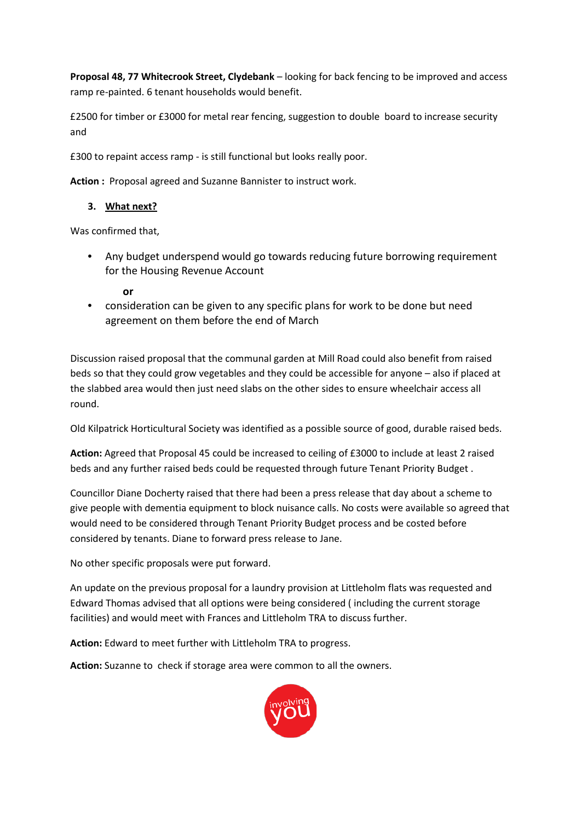**Proposal 48, 77 Whitecrook Street, Clydebank** – looking for back fencing to be improved and access ramp re-painted. 6 tenant households would benefit.

£2500 for timber or £3000 for metal rear fencing, suggestion to double board to increase security and

£300 to repaint access ramp - is still functional but looks really poor.

**Action :** Proposal agreed and Suzanne Bannister to instruct work.

#### **3. What next?**

Was confirmed that,

- Any budget underspend would go towards reducing future borrowing requirement for the Housing Revenue Account
	- **or**
- consideration can be given to any specific plans for work to be done but need agreement on them before the end of March

Discussion raised proposal that the communal garden at Mill Road could also benefit from raised beds so that they could grow vegetables and they could be accessible for anyone – also if placed at the slabbed area would then just need slabs on the other sides to ensure wheelchair access all round.

Old Kilpatrick Horticultural Society was identified as a possible source of good, durable raised beds.

**Action:** Agreed that Proposal 45 could be increased to ceiling of £3000 to include at least 2 raised beds and any further raised beds could be requested through future Tenant Priority Budget .

Councillor Diane Docherty raised that there had been a press release that day about a scheme to give people with dementia equipment to block nuisance calls. No costs were available so agreed that would need to be considered through Tenant Priority Budget process and be costed before considered by tenants. Diane to forward press release to Jane.

No other specific proposals were put forward.

An update on the previous proposal for a laundry provision at Littleholm flats was requested and Edward Thomas advised that all options were being considered ( including the current storage facilities) and would meet with Frances and Littleholm TRA to discuss further.

**Action:** Edward to meet further with Littleholm TRA to progress.

**Action:** Suzanne to check if storage area were common to all the owners.

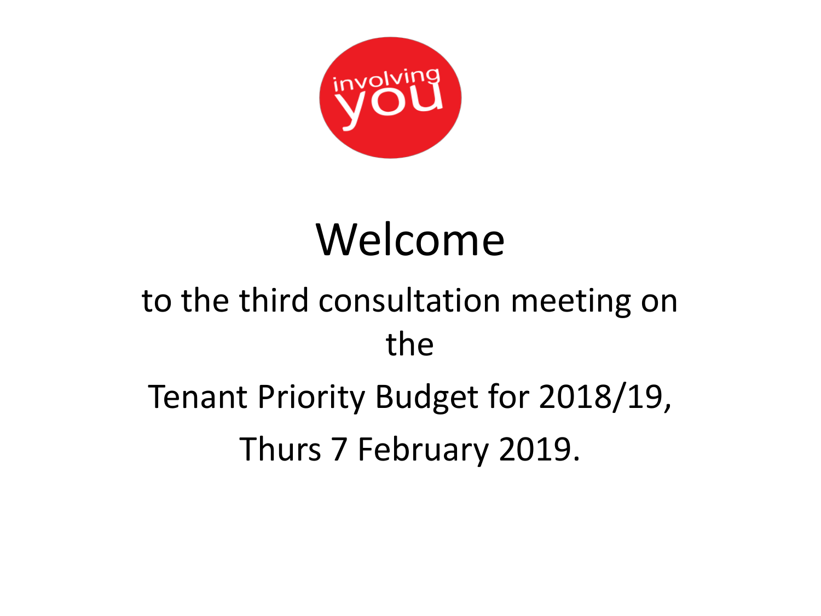

# Welcome

# to the third consultation meeting on the

# Tenant Priority Budget for 2018/19, Thurs 7 February 2019.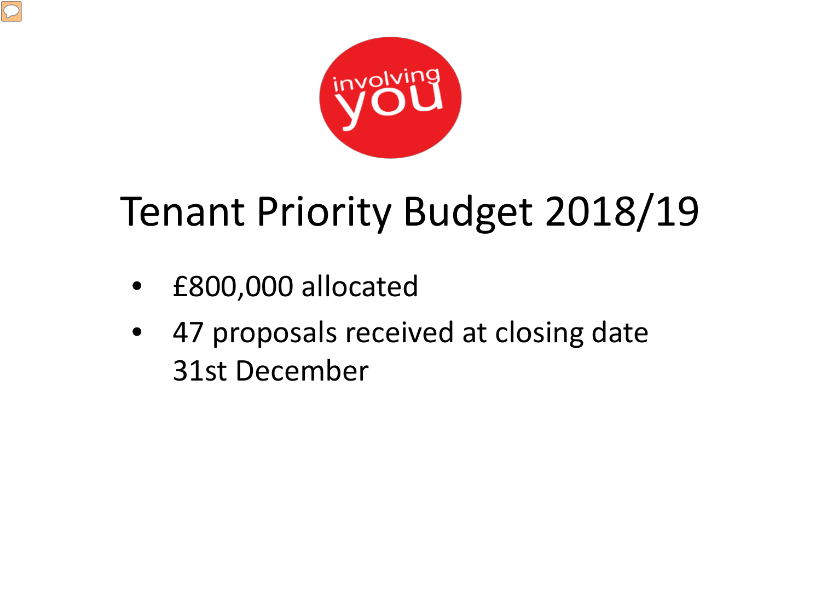

# Tenant Priority Budget 2018/19

- £800,000 allocated
- 47 proposals received at closing date 31st December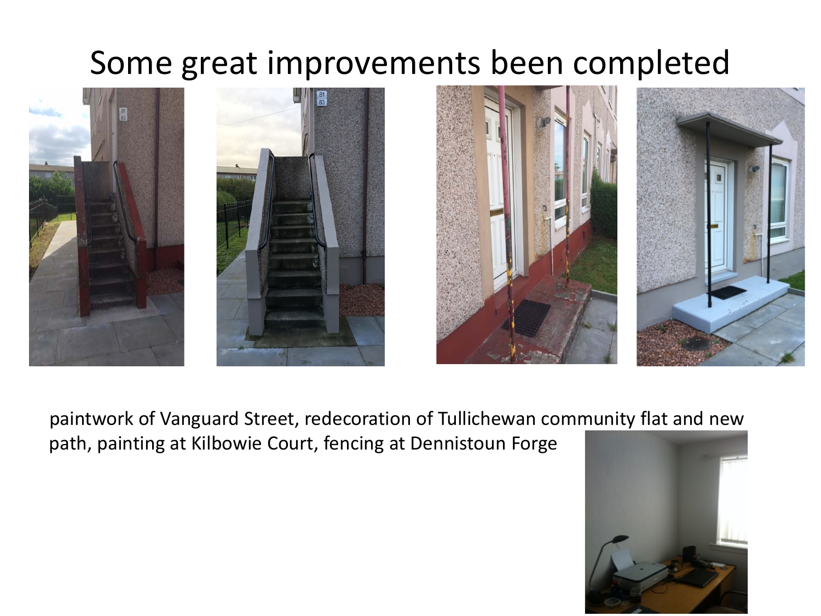## Some great improvements been completed









paintwork of Vanguard Street, redecoration of Tullichewan community flat and new path, painting at Kilbowie Court, fencing at Dennistoun Forge

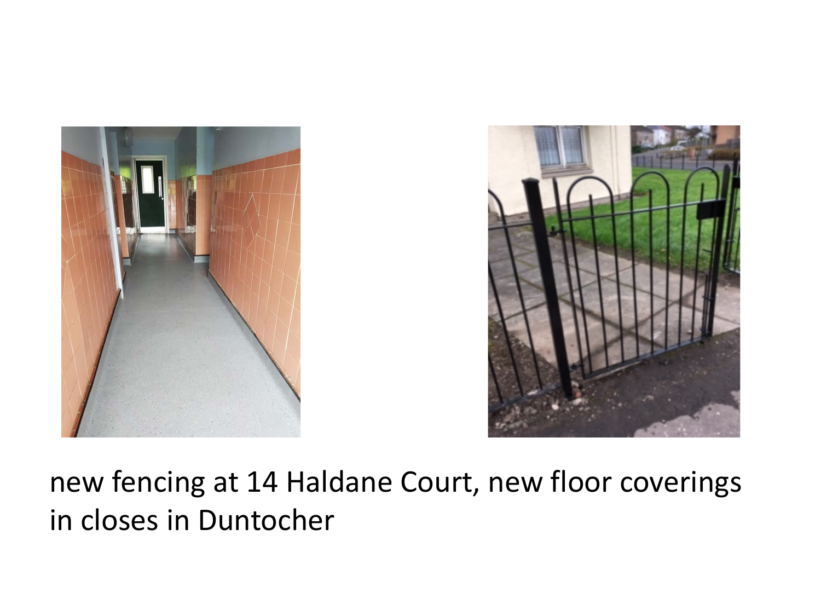



## new fencing at 14 Haldane Court, new floor coverings in closes in Duntocher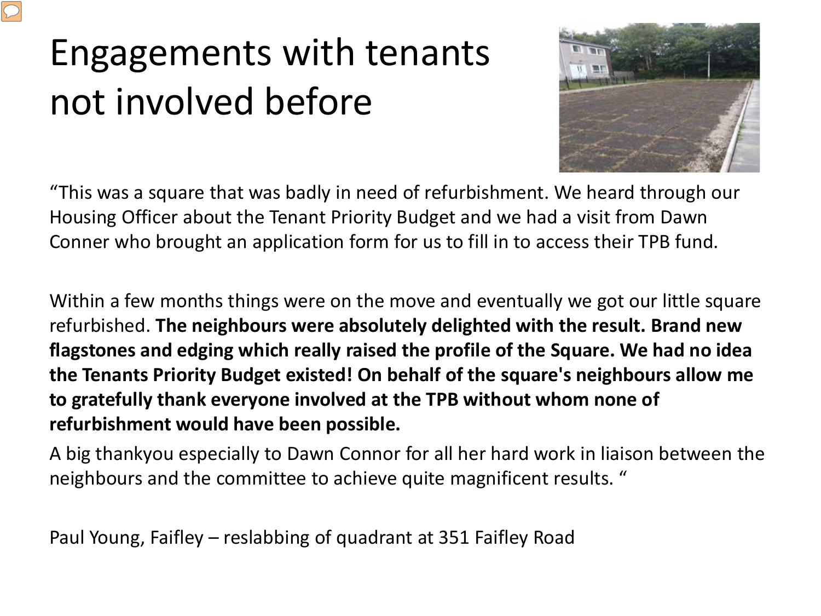# Engagements with tenants not involved before



"This was a square that was badly in need of refurbishment. We heard through our Housing Officer about the Tenant Priority Budget and we had a visit from Dawn Conner who brought an application form for us to fill in to access their TPB fund.

Within a few months things were on the move and eventually we got our little square refurbished. **The neighbours were absolutely delighted with the result. Brand new flagstones and edging which really raised the profile of the Square. We had no idea the Tenants Priority Budget existed! On behalf of the square's neighbours allow me to gratefully thank everyone involved at the TPB without whom none of refurbishment would have been possible.** 

A big thankyou especially to Dawn Connor for all her hard work in liaison between the neighbours and the committee to achieve quite magnificent results. "

Paul Young, Faifley – reslabbing of quadrant at 351 Faifley Road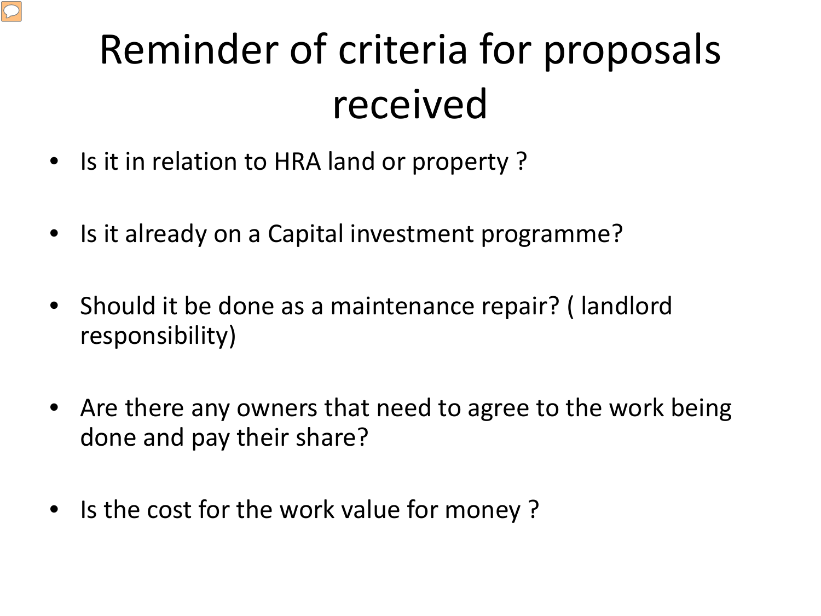# Reminder of criteria for proposals received

- Is it in relation to HRA land or property?
- Is it already on a Capital investment programme?
- Should it be done as a maintenance repair? (landlord responsibility)
- Are there any owners that need to agree to the work being done and pay their share?
- Is the cost for the work value for money?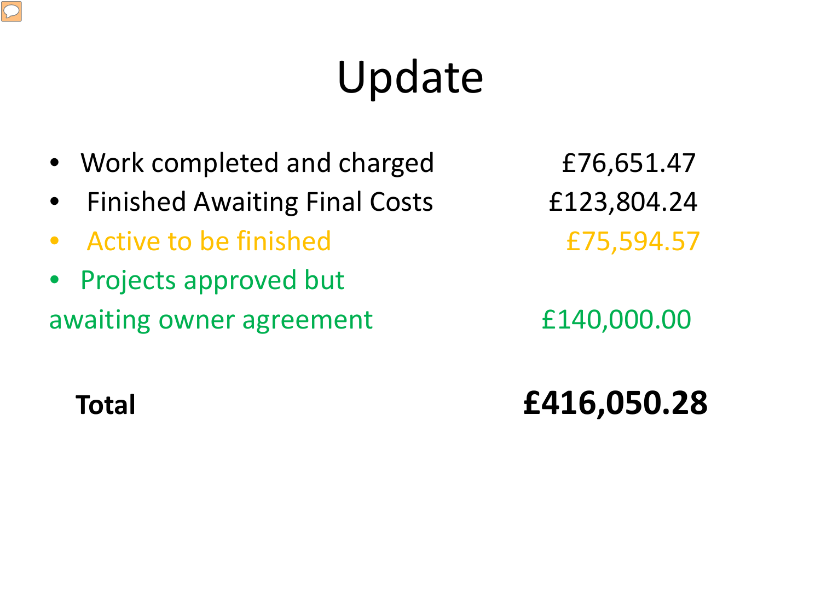# Update

- Work completed and charged E76,651.47
- Finished Awaiting Final Costs £123,804.24
- Active to be finished **E75,594.57**
- Projects approved but awaiting owner agreement E140,000.00

 **Total £416,050.28**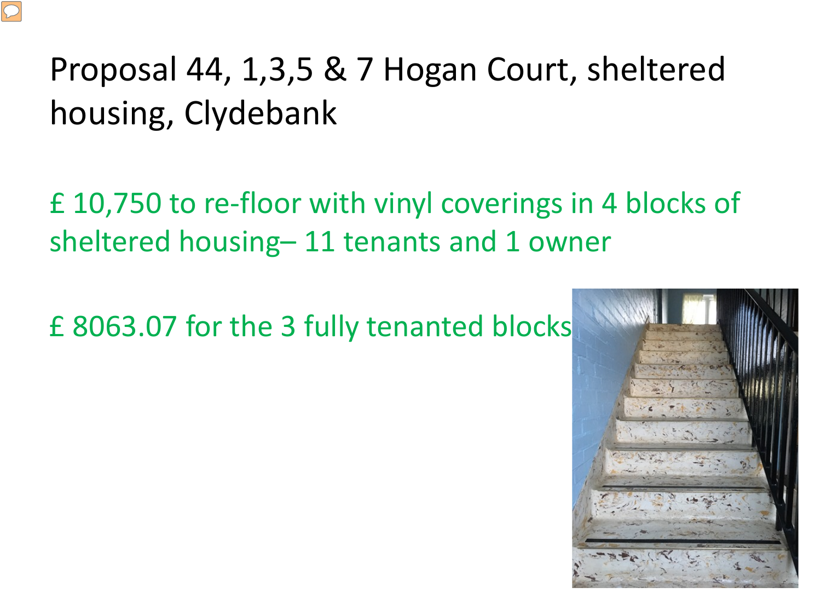

# Proposal 44, 1,3,5 & 7 Hogan Court, sheltered housing, Clydebank

£ 10,750 to re-floor with vinyl coverings in 4 blocks of sheltered housing– 11 tenants and 1 owner

£ 8063.07 for the 3 fully tenanted blocks

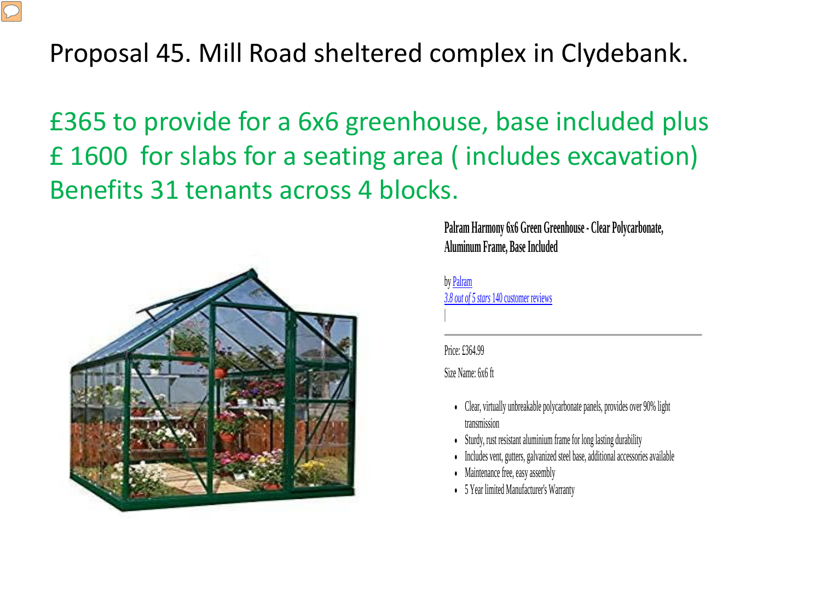### Proposal 45. Mill Road sheltered complex in Clydebank.

£365 to provide for a 6x6 greenhouse, base included plus £ 1600 for slabs for a seating area ( includes excavation) Benefits 31 tenants across 4 blocks.



**Palram Harmony 6x6 Green Greenhouse - Clear Polycarbonate, Aluminum Frame, Base Included** 

by Palram *3.8 out of 5 stars* 140 customer reviews

Price: £364.99

Size Name: 6x6 ft

- Clear, virtually unbreakable polycarbonate panels, provides over 90% light transmission
- Sturdy, rust resistant aluminium frame for long lasting durability
- Includes vent, gutters, galvanized steel base, additional accessories available
- Maintenance free, easy assembly
- 5 Year limited Manufacturer's Warranty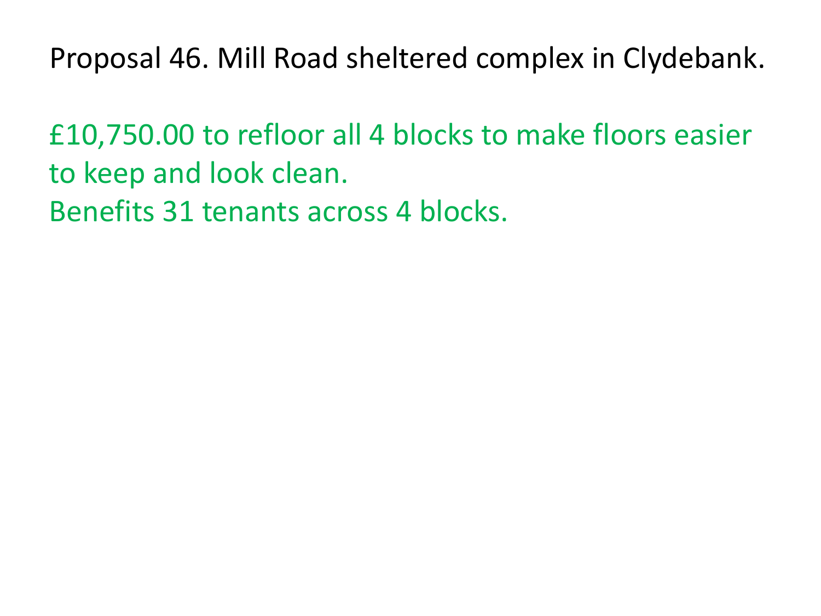Proposal 46. Mill Road sheltered complex in Clydebank.

£10,750.00 to refloor all 4 blocks to make floors easier to keep and look clean. Benefits 31 tenants across 4 blocks.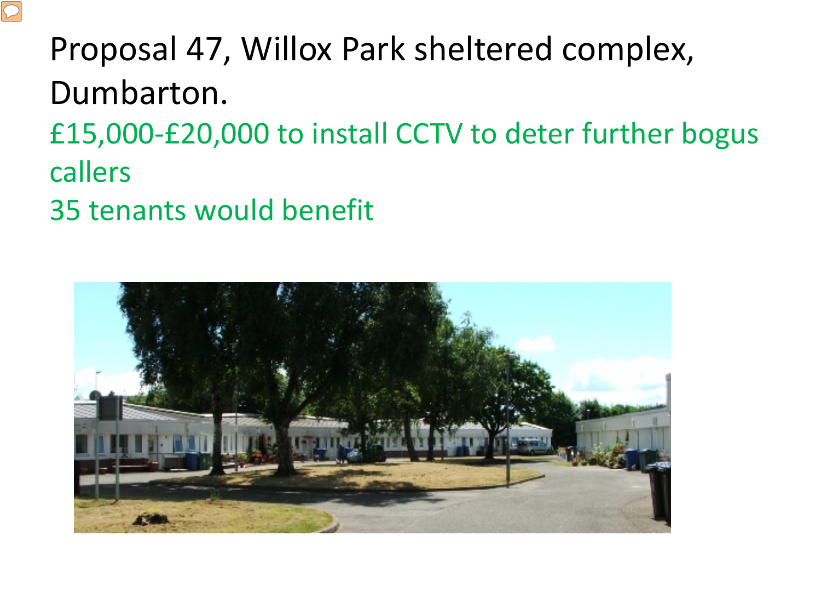## Proposal 47, Willox Park sheltered complex, Dumbarton. £15,000-£20,000 to install CCTV to deter further bogus callers

35 tenants would benefit

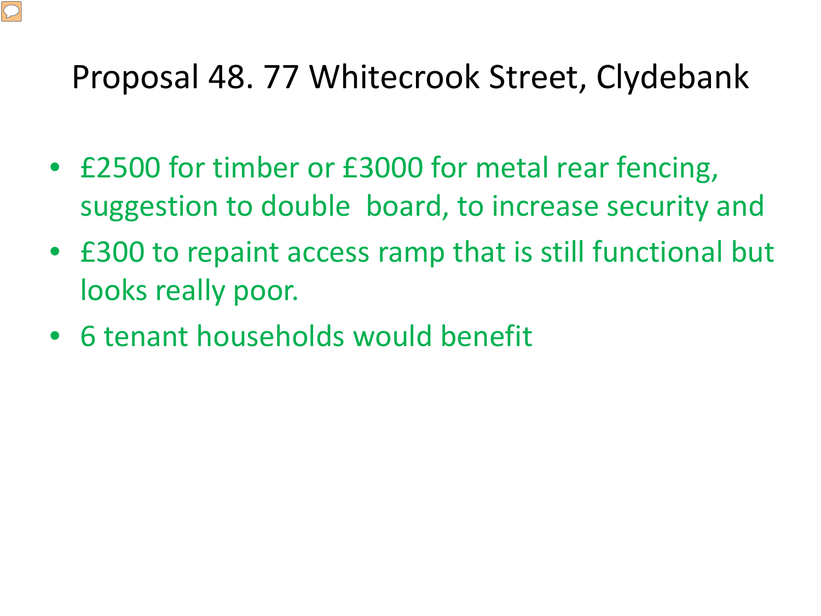## Proposal 48. 77 Whitecrook Street, Clydebank

- £2500 for timber or £3000 for metal rear fencing, suggestion to double board, to increase security and
- £300 to repaint access ramp that is still functional but looks really poor.
- 6 tenant households would benefit